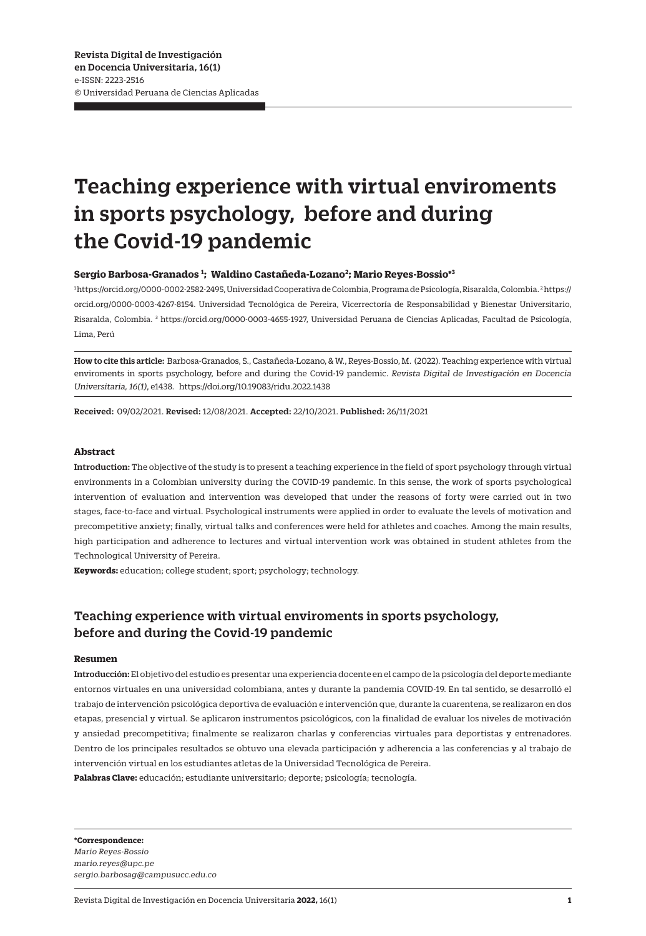# Teaching experience with virtual enviroments in sports psychology, before and during the Covid-19 pandemic

#### **Sergio Barbosa-Granados 1 ; Waldino Castañeda-Lozano2 ; Mario Reyes-Bossio\*3**

 $^{\rm h}$ ttps://orcid.org/0000-0002-2582-2495, Universidad Cooperativa de Colombia, Programa de Psicología, Risaralda, Colombia.  $^{\rm 2}$ https:// orcid.org/0000-0003-4267-8154. Universidad Tecnológica de Pereira, Vicerrectoría de Responsabilidad y Bienestar Universitario, Risaralda, Colombia. <sup>3</sup> https://orcid.org/0000-0003-4655-1927, Universidad Peruana de Ciencias Aplicadas, Facultad de Psicología, Lima, Perú

How to cite this article: Barbosa-Granados, S., Castañeda-Lozano, & W., Reyes-Bossio, M. (2022). Teaching experience with virtual enviroments in sports psychology, before and during the Covid-19 pandemic. *Revista Digital de Investigación en Docencia Universitaria, 16(1)*, e1438. https://doi.org/10.19083/ridu.2022.1438

Received: 09/02/2021. Revised: 12/08/2021. Accepted: 22/10/2021. Published: 26/11/2021

#### **Abstract**

Introduction: The objective of the study is to present a teaching experience in the field of sport psychology through virtual environments in a Colombian university during the COVID-19 pandemic. In this sense, the work of sports psychological intervention of evaluation and intervention was developed that under the reasons of forty were carried out in two stages, face-to-face and virtual. Psychological instruments were applied in order to evaluate the levels of motivation and precompetitive anxiety; finally, virtual talks and conferences were held for athletes and coaches. Among the main results, high participation and adherence to lectures and virtual intervention work was obtained in student athletes from the Technological University of Pereira.

**Keywords:** education; college student; sport; psychology; technology.

## Teaching experience with virtual enviroments in sports psychology, before and during the Covid-19 pandemic

#### **Resumen**

Introducción: El objetivo del estudio es presentar una experiencia docente en el campo de la psicología del deporte mediante entornos virtuales en una universidad colombiana, antes y durante la pandemia COVID-19. En tal sentido, se desarrolló el trabajo de intervención psicológica deportiva de evaluación e intervención que, durante la cuarentena, se realizaron en dos etapas, presencial y virtual. Se aplicaron instrumentos psicológicos, con la finalidad de evaluar los niveles de motivación y ansiedad precompetitiva; finalmente se realizaron charlas y conferencias virtuales para deportistas y entrenadores. Dentro de los principales resultados se obtuvo una elevada participación y adherencia a las conferencias y al trabajo de intervención virtual en los estudiantes atletas de la Universidad Tecnológica de Pereira. **Palabras Clave:** educación; estudiante universitario; deporte; psicología; tecnología.

**\*Correspondence:** *Mario Reyes-Bossio mario.reyes@upc.pe sergio.barbosag@campusucc.edu.co*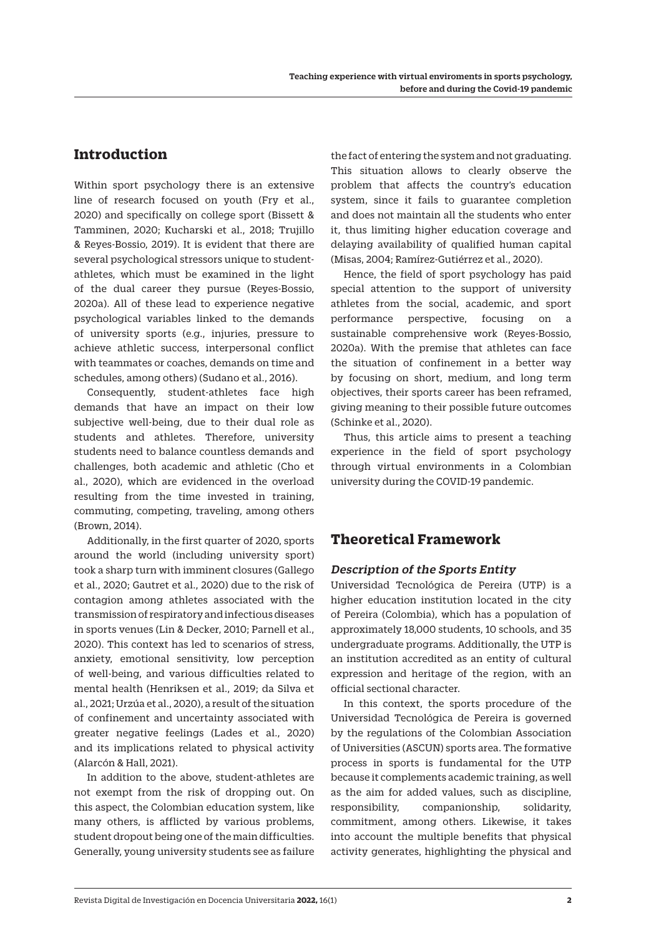# **Introduction**

Within sport psychology there is an extensive line of research focused on youth (Fry et al., 2020) and specifically on college sport (Bissett & Tamminen, 2020; Kucharski et al., 2018; Trujillo & Reyes-Bossio, 2019). It is evident that there are several psychological stressors unique to studentathletes, which must be examined in the light of the dual career they pursue (Reyes-Bossio, 2020a). All of these lead to experience negative psychological variables linked to the demands of university sports (e.g., injuries, pressure to achieve athletic success, interpersonal conflict with teammates or coaches, demands on time and schedules, among others) (Sudano et al., 2016).

Consequently, student-athletes face high demands that have an impact on their low subjective well-being, due to their dual role as students and athletes. Therefore, university students need to balance countless demands and challenges, both academic and athletic (Cho et al., 2020), which are evidenced in the overload resulting from the time invested in training, commuting, competing, traveling, among others (Brown, 2014).

Additionally, in the first quarter of 2020, sports around the world (including university sport) took a sharp turn with imminent closures (Gallego et al., 2020; Gautret et al., 2020) due to the risk of contagion among athletes associated with the transmission of respiratory and infectious diseases in sports venues (Lin & Decker, 2010; Parnell et al., 2020). This context has led to scenarios of stress, anxiety, emotional sensitivity, low perception of well-being, and various difficulties related to mental health (Henriksen et al., 2019; da Silva et al., 2021; Urzúa et al., 2020), a result of the situation of confinement and uncertainty associated with greater negative feelings (Lades et al., 2020) and its implications related to physical activity (Alarcón & Hall, 2021).

In addition to the above, student-athletes are not exempt from the risk of dropping out. On this aspect, the Colombian education system, like many others, is afflicted by various problems, student dropout being one of the main difficulties. Generally, young university students see as failure

the fact of entering the system and not graduating. This situation allows to clearly observe the problem that affects the country's education system, since it fails to guarantee completion and does not maintain all the students who enter it, thus limiting higher education coverage and delaying availability of qualified human capital (Misas, 2004; Ramírez-Gutiérrez et al., 2020).

Hence, the field of sport psychology has paid special attention to the support of university athletes from the social, academic, and sport performance perspective, focusing on a sustainable comprehensive work (Reyes-Bossio, 2020a). With the premise that athletes can face the situation of confinement in a better way by focusing on short, medium, and long term objectives, their sports career has been reframed, giving meaning to their possible future outcomes (Schinke et al., 2020).

Thus, this article aims to present a teaching experience in the field of sport psychology through virtual environments in a Colombian university during the COVID-19 pandemic.

# **Theoretical Framework**

### Description of the Sports Entity

Universidad Tecnológica de Pereira (UTP) is a higher education institution located in the city of Pereira (Colombia), which has a population of approximately 18,000 students, 10 schools, and 35 undergraduate programs. Additionally, the UTP is an institution accredited as an entity of cultural expression and heritage of the region, with an official sectional character.

In this context, the sports procedure of the Universidad Tecnológica de Pereira is governed by the regulations of the Colombian Association of Universities (ASCUN) sports area. The formative process in sports is fundamental for the UTP because it complements academic training, as well as the aim for added values, such as discipline, responsibility, companionship, solidarity, commitment, among others. Likewise, it takes into account the multiple benefits that physical activity generates, highlighting the physical and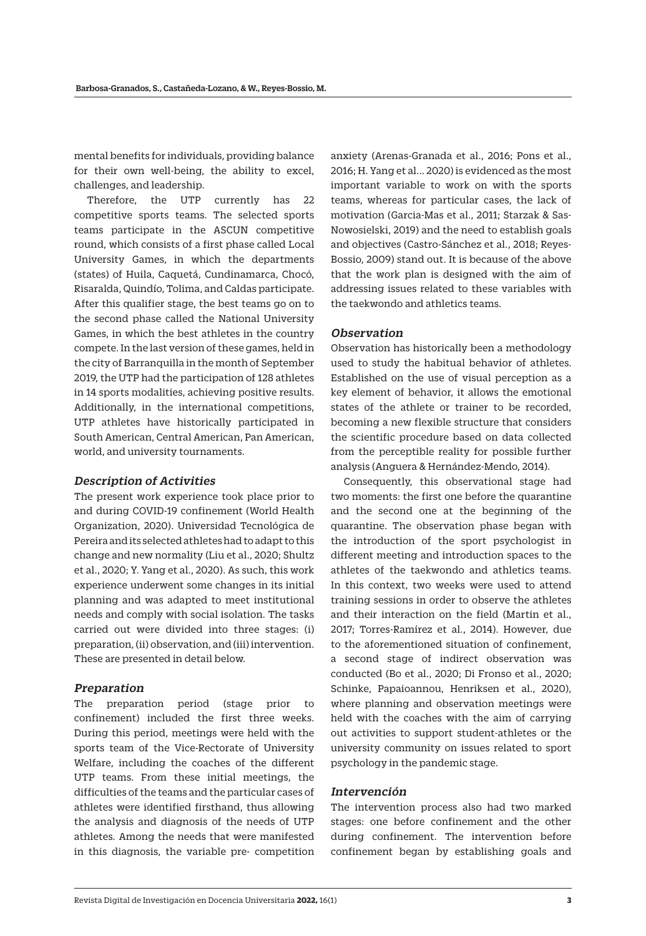mental benefits for individuals, providing balance for their own well-being, the ability to excel, challenges, and leadership.

Therefore, the UTP currently has 22 competitive sports teams. The selected sports teams participate in the ASCUN competitive round, which consists of a first phase called Local University Games, in which the departments (states) of Huila, Caquetá, Cundinamarca, Chocó, Risaralda, Quindío, Tolima, and Caldas participate. After this qualifier stage, the best teams go on to the second phase called the National University Games, in which the best athletes in the country compete. In the last version of these games, held in the city of Barranquilla in the month of September 2019, the UTP had the participation of 128 athletes in 14 sports modalities, achieving positive results. Additionally, in the international competitions, UTP athletes have historically participated in South American, Central American, Pan American, world, and university tournaments.

#### Description of Activities

The present work experience took place prior to and during COVID-19 confinement (World Health Organization, 2020). Universidad Tecnológica de Pereira and its selected athletes had to adapt to this change and new normality (Liu et al., 2020; Shultz et al., 2020; Y. Yang et al., 2020). As such, this work experience underwent some changes in its initial planning and was adapted to meet institutional needs and comply with social isolation. The tasks carried out were divided into three stages: (i) preparation, (ii) observation, and (iii) intervention. These are presented in detail below.

#### Preparation

The preparation period (stage prior to confinement) included the first three weeks. During this period, meetings were held with the sports team of the Vice-Rectorate of University Welfare, including the coaches of the different UTP teams. From these initial meetings, the difficulties of the teams and the particular cases of athletes were identified firsthand, thus allowing the analysis and diagnosis of the needs of UTP athletes. Among the needs that were manifested in this diagnosis, the variable pre- competition

anxiety (Arenas-Granada et al., 2016; Pons et al., 2016; H. Yang et al... 2020) is evidenced as the most important variable to work on with the sports teams, whereas for particular cases, the lack of motivation (Garcia-Mas et al., 2011; Starzak & Sas-Nowosielski, 2019) and the need to establish goals and objectives (Castro-Sánchez et al., 2018; Reyes-Bossio, 2009) stand out. It is because of the above that the work plan is designed with the aim of addressing issues related to these variables with the taekwondo and athletics teams.

#### **Observation**

Observation has historically been a methodology used to study the habitual behavior of athletes. Established on the use of visual perception as a key element of behavior, it allows the emotional states of the athlete or trainer to be recorded, becoming a new flexible structure that considers the scientific procedure based on data collected from the perceptible reality for possible further analysis (Anguera & Hernández-Mendo, 2014).

Consequently, this observational stage had two moments: the first one before the quarantine and the second one at the beginning of the quarantine. The observation phase began with the introduction of the sport psychologist in different meeting and introduction spaces to the athletes of the taekwondo and athletics teams. In this context, two weeks were used to attend training sessions in order to observe the athletes and their interaction on the field (Martin et al., 2017; Torres-Ramírez et al., 2014). However, due to the aforementioned situation of confinement, a second stage of indirect observation was conducted (Bo et al., 2020; Di Fronso et al., 2020; Schinke, Papaioannou, Henriksen et al., 2020), where planning and observation meetings were held with the coaches with the aim of carrying out activities to support student-athletes or the university community on issues related to sport psychology in the pandemic stage.

#### Intervención

The intervention process also had two marked stages: one before confinement and the other during confinement. The intervention before confinement began by establishing goals and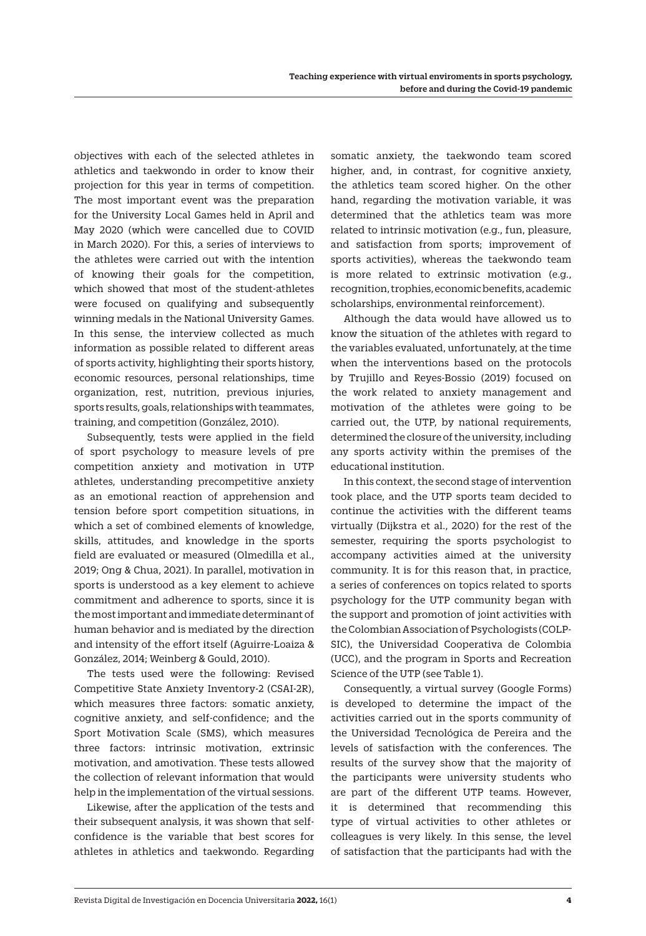objectives with each of the selected athletes in athletics and taekwondo in order to know their projection for this year in terms of competition. The most important event was the preparation for the University Local Games held in April and May 2020 (which were cancelled due to COVID in March 2020). For this, a series of interviews to the athletes were carried out with the intention of knowing their goals for the competition, which showed that most of the student-athletes were focused on qualifying and subsequently winning medals in the National University Games. In this sense, the interview collected as much information as possible related to different areas of sports activity, highlighting their sports history, economic resources, personal relationships, time organization, rest, nutrition, previous injuries, sports results, goals, relationships with teammates, training, and competition (González, 2010).

Subsequently, tests were applied in the field of sport psychology to measure levels of pre competition anxiety and motivation in UTP athletes, understanding precompetitive anxiety as an emotional reaction of apprehension and tension before sport competition situations, in which a set of combined elements of knowledge, skills, attitudes, and knowledge in the sports field are evaluated or measured (Olmedilla et al., 2019; Ong & Chua, 2021). In parallel, motivation in sports is understood as a key element to achieve commitment and adherence to sports, since it is the most important and immediate determinant of human behavior and is mediated by the direction and intensity of the effort itself (Aguirre-Loaiza & González, 2014; Weinberg & Gould, 2010).

The tests used were the following: Revised Competitive State Anxiety Inventory-2 (CSAI-2R), which measures three factors: somatic anxiety, cognitive anxiety, and self-confidence; and the Sport Motivation Scale (SMS), which measures three factors: intrinsic motivation, extrinsic motivation, and amotivation. These tests allowed the collection of relevant information that would help in the implementation of the virtual sessions.

Likewise, after the application of the tests and their subsequent analysis, it was shown that selfconfidence is the variable that best scores for athletes in athletics and taekwondo. Regarding

somatic anxiety, the taekwondo team scored higher, and, in contrast, for cognitive anxiety, the athletics team scored higher. On the other hand, regarding the motivation variable, it was determined that the athletics team was more related to intrinsic motivation (e.g., fun, pleasure, and satisfaction from sports; improvement of sports activities), whereas the taekwondo team is more related to extrinsic motivation (e.g., recognition, trophies, economic benefits, academic scholarships, environmental reinforcement).

Although the data would have allowed us to know the situation of the athletes with regard to the variables evaluated, unfortunately, at the time when the interventions based on the protocols by Trujillo and Reyes-Bossio (2019) focused on the work related to anxiety management and motivation of the athletes were going to be carried out, the UTP, by national requirements, determined the closure of the university, including any sports activity within the premises of the educational institution.

In this context, the second stage of intervention took place, and the UTP sports team decided to continue the activities with the different teams virtually (Dijkstra et al., 2020) for the rest of the semester, requiring the sports psychologist to accompany activities aimed at the university community. It is for this reason that, in practice, a series of conferences on topics related to sports psychology for the UTP community began with the support and promotion of joint activities with the Colombian Association of Psychologists (COLP-SIC), the Universidad Cooperativa de Colombia (UCC), and the program in Sports and Recreation Science of the UTP (see Table 1).

Consequently, a virtual survey (Google Forms) is developed to determine the impact of the activities carried out in the sports community of the Universidad Tecnológica de Pereira and the levels of satisfaction with the conferences. The results of the survey show that the majority of the participants were university students who are part of the different UTP teams. However, it is determined that recommending this type of virtual activities to other athletes or colleagues is very likely. In this sense, the level of satisfaction that the participants had with the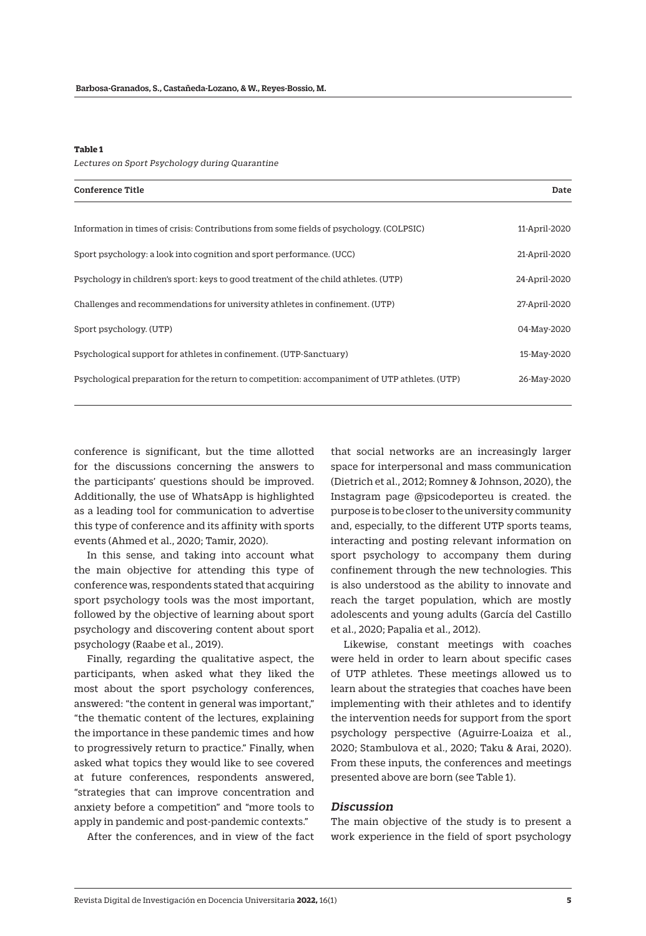#### **Table 1**

*Lectures on Sport Psychology during Quarantine*

| <b>Conference Title</b>                                                                       | Date          |
|-----------------------------------------------------------------------------------------------|---------------|
| Information in times of crisis: Contributions from some fields of psychology. (COLPSIC)       | 11-April-2020 |
| Sport psychology: a look into cognition and sport performance. (UCC)                          | 21-April-2020 |
| Psychology in children's sport: keys to good treatment of the child athletes. (UTP)           | 24-April-2020 |
| Challenges and recommendations for university athletes in confinement. (UTP)                  | 27-April-2020 |
| Sport psychology. (UTP)                                                                       | 04-May-2020   |
| Psychological support for athletes in confinement. (UTP-Sanctuary)                            | 15-May-2020   |
| Psychological preparation for the return to competition: accompaniment of UTP athletes. (UTP) | 26-May-2020   |
|                                                                                               |               |

conference is significant, but the time allotted for the discussions concerning the answers to the participants' questions should be improved. Additionally, the use of WhatsApp is highlighted as a leading tool for communication to advertise this type of conference and its affinity with sports events (Ahmed et al., 2020; Tamir, 2020).

In this sense, and taking into account what the main objective for attending this type of conference was, respondents stated that acquiring sport psychology tools was the most important, followed by the objective of learning about sport psychology and discovering content about sport psychology (Raabe et al., 2019).

Finally, regarding the qualitative aspect, the participants, when asked what they liked the most about the sport psychology conferences, answered: "the content in general was important," "the thematic content of the lectures, explaining the importance in these pandemic times and how to progressively return to practice." Finally, when asked what topics they would like to see covered at future conferences, respondents answered, "strategies that can improve concentration and anxiety before a competition" and "more tools to apply in pandemic and post-pandemic contexts."

After the conferences, and in view of the fact

that social networks are an increasingly larger space for interpersonal and mass communication (Dietrich et al., 2012; Romney & Johnson, 2020), the Instagram page @psicodeporteu is created. the purpose is to be closer to the university community and, especially, to the different UTP sports teams, interacting and posting relevant information on sport psychology to accompany them during confinement through the new technologies. This is also understood as the ability to innovate and reach the target population, which are mostly adolescents and young adults (García del Castillo et al., 2020; Papalia et al., 2012).

Likewise, constant meetings with coaches were held in order to learn about specific cases of UTP athletes. These meetings allowed us to learn about the strategies that coaches have been implementing with their athletes and to identify the intervention needs for support from the sport psychology perspective (Aguirre-Loaiza et al., 2020; Stambulova et al., 2020; Taku & Arai, 2020). From these inputs, the conferences and meetings presented above are born (see Table 1).

#### Discussion

The main objective of the study is to present a work experience in the field of sport psychology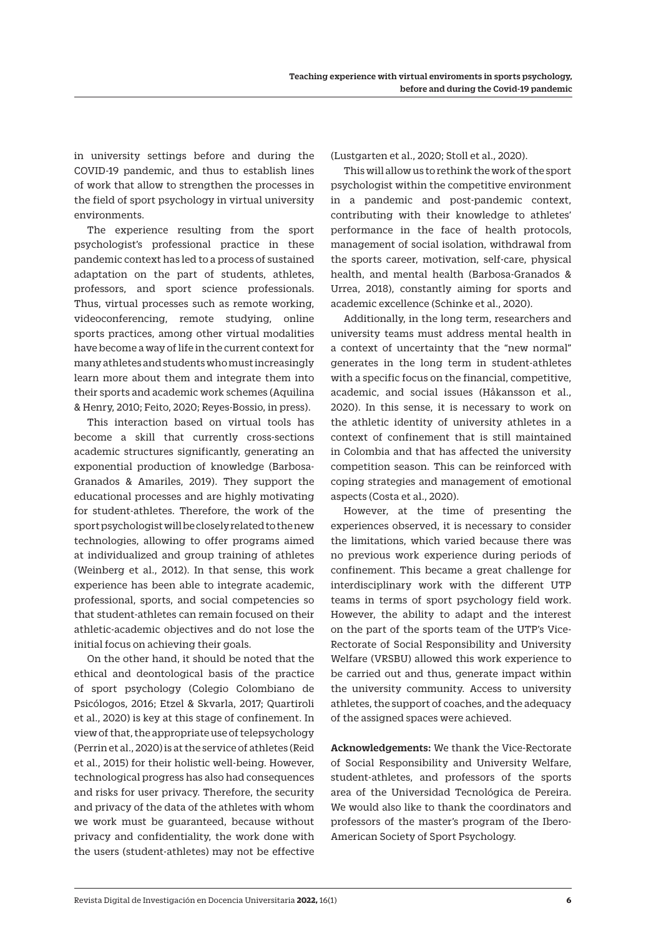in university settings before and during the COVID-19 pandemic, and thus to establish lines of work that allow to strengthen the processes in the field of sport psychology in virtual university environments.

The experience resulting from the sport psychologist's professional practice in these pandemic context has led to a process of sustained adaptation on the part of students, athletes, professors, and sport science professionals. Thus, virtual processes such as remote working, videoconferencing, remote studying, online sports practices, among other virtual modalities have become a way of life in the current context for many athletes and students who must increasingly learn more about them and integrate them into their sports and academic work schemes (Aquilina & Henry, 2010; Feito, 2020; Reyes-Bossio, in press).

This interaction based on virtual tools has become a skill that currently cross-sections academic structures significantly, generating an exponential production of knowledge (Barbosa-Granados & Amariles, 2019). They support the educational processes and are highly motivating for student-athletes. Therefore, the work of the sport psychologist will be closely related to the new technologies, allowing to offer programs aimed at individualized and group training of athletes (Weinberg et al., 2012). In that sense, this work experience has been able to integrate academic, professional, sports, and social competencies so that student-athletes can remain focused on their athletic-academic objectives and do not lose the initial focus on achieving their goals.

On the other hand, it should be noted that the ethical and deontological basis of the practice of sport psychology (Colegio Colombiano de Psicólogos, 2016; Etzel & Skvarla, 2017; Quartiroli et al., 2020) is key at this stage of confinement. In view of that, the appropriate use of telepsychology (Perrin et al., 2020) is at the service of athletes (Reid et al., 2015) for their holistic well-being. However, technological progress has also had consequences and risks for user privacy. Therefore, the security and privacy of the data of the athletes with whom we work must be guaranteed, because without privacy and confidentiality, the work done with the users (student-athletes) may not be effective

(Lustgarten et al., 2020; Stoll et al., 2020).

This will allow us to rethink the work of the sport psychologist within the competitive environment in a pandemic and post-pandemic context, contributing with their knowledge to athletes' performance in the face of health protocols, management of social isolation, withdrawal from the sports career, motivation, self-care, physical health, and mental health (Barbosa-Granados & Urrea, 2018), constantly aiming for sports and academic excellence (Schinke et al., 2020).

Additionally, in the long term, researchers and university teams must address mental health in a context of uncertainty that the "new normal" generates in the long term in student-athletes with a specific focus on the financial, competitive, academic, and social issues (Håkansson et al., 2020). In this sense, it is necessary to work on the athletic identity of university athletes in a context of confinement that is still maintained in Colombia and that has affected the university competition season. This can be reinforced with coping strategies and management of emotional aspects (Costa et al., 2020).

However, at the time of presenting the experiences observed, it is necessary to consider the limitations, which varied because there was no previous work experience during periods of confinement. This became a great challenge for interdisciplinary work with the different UTP teams in terms of sport psychology field work. However, the ability to adapt and the interest on the part of the sports team of the UTP's Vice-Rectorate of Social Responsibility and University Welfare (VRSBU) allowed this work experience to be carried out and thus, generate impact within the university community. Access to university athletes, the support of coaches, and the adequacy of the assigned spaces were achieved.

Acknowledgements: We thank the Vice-Rectorate of Social Responsibility and University Welfare, student-athletes, and professors of the sports area of the Universidad Tecnológica de Pereira. We would also like to thank the coordinators and professors of the master's program of the Ibero-American Society of Sport Psychology.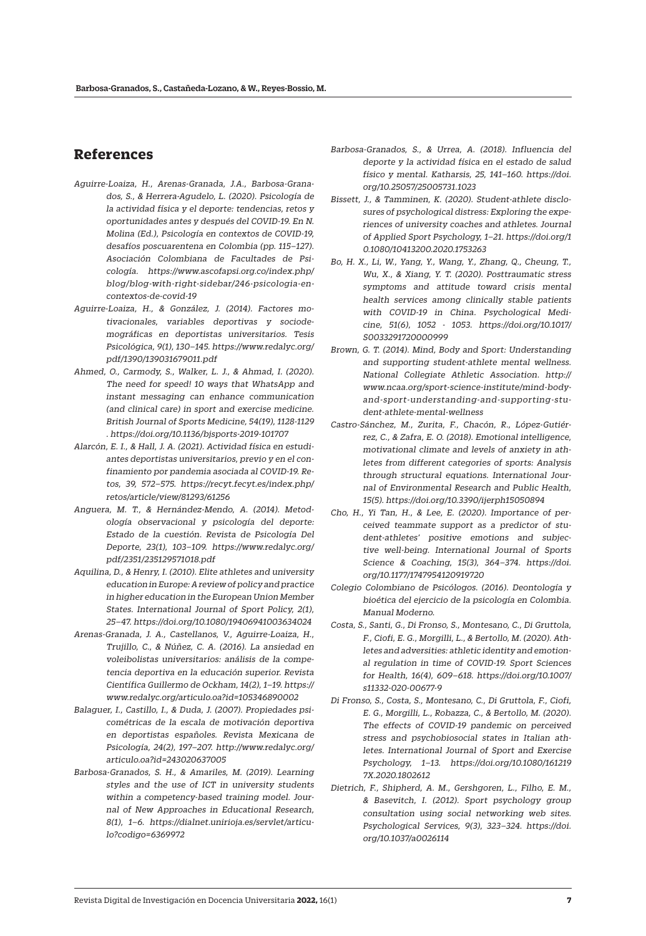## **References**

- *Aguirre-Loaiza, H., Arenas-Granada, J.A., Barbosa-Granados, S., & Herrera-Agudelo, L. (2020). Psicología de la actividad física y el deporte: tendencias, retos y oportunidades antes y después del COVID-19. En N. Molina (Ed.), Psicología en contextos de COVID-19, desafíos poscuarentena en Colombia (pp. 115–127). Asociación Colombiana de Facultades de Psicología. https://www.ascofapsi.org.co/index.php/ blog/blog-with-right-sidebar/246-psicologia-encontextos-de-covid-19*
- *Aguirre-Loaiza, H., & González, J. (2014). Factores motivacionales, variables deportivas y sociodemográficas en deportistas universitarios. Tesis Psicológica, 9(1), 130–145. https://www.redalyc.org/ pdf/1390/139031679011.pdf*
- *Ahmed, O., Carmody, S., Walker, L. J., & Ahmad, I. (2020). The need for speed! 10 ways that WhatsApp and instant messaging can enhance communication (and clinical care) in sport and exercise medicine. British Journal of Sports Medicine, 54(19), 1128-1129 . https://doi.org/10.1136/bjsports-2019-101707*
- *Alarcón, E. I., & Hall, J. A. (2021). Actividad física en estudiantes deportistas universitarios, previo y en el confinamiento por pandemia asociada al COVID-19. Retos, 39, 572–575. https://recyt.fecyt.es/index.php/ retos/article/view/81293/61256*
- *Anguera, M. T., & Hernández-Mendo, A. (2014). Metodología observacional y psicología del deporte: Estado de la cuestión. Revista de Psicología Del Deporte, 23(1), 103–109. https://www.redalyc.org/ pdf/2351/235129571018.pdf*
- *Aquilina, D., & Henry, I. (2010). Elite athletes and university education in Europe: A review of policy and practice in higher education in the European Union Member States. International Journal of Sport Policy, 2(1), 25–47. https://doi.org/10.1080/19406941003634024*
- *Arenas-Granada, J. A., Castellanos, V., Aguirre-Loaiza, H., Trujillo, C., & Núñez, C. A. (2016). La ansiedad en voleibolistas universitarios: análisis de la competencia deportiva en la educación superior. Revista Científica Guillermo de Ockham, 14(2), 1–19. https:// www.redalyc.org/articulo.oa?id=105346890002*
- *Balaguer, I., Castillo, I., & Duda, J. (2007). Propiedades psicométricas de la escala de motivación deportiva en deportistas españoles. Revista Mexicana de Psicología, 24(2), 197–207. http://www.redalyc.org/ articulo.oa?id=243020637005*
- *Barbosa-Granados, S. H., & Amariles, M. (2019). Learning styles and the use of ICT in university students within a competency-based training model. Journal of New Approaches in Educational Research, 8(1), 1–6. https://dialnet.unirioja.es/servlet/articulo?codigo=6369972*
- *Barbosa-Granados, S., & Urrea, A. (2018). Influencia del deporte y la actividad física en el estado de salud físico y mental. Katharsis, 25, 141–160. https://doi. org/10.25057/25005731.1023*
- *Bissett, J., & Tamminen, K. (2020). Student-athlete disclosures of psychological distress: Exploring the experiences of university coaches and athletes. Journal of Applied Sport Psychology, 1–21. https://doi.org/1 0.1080/10413200.2020.1753263*
- *Bo, H. X., Li, W., Yang, Y., Wang, Y., Zhang, Q., Cheung, T., Wu, X., & Xiang, Y. T. (2020). Posttraumatic stress symptoms and attitude toward crisis mental health services among clinically stable patients with COVID-19 in China. Psychological Medicine, 51(6), 1052 - 1053. https://doi.org/10.1017/ S0033291720000999*
- *Brown, G. T. (2014). Mind, Body and Sport: Understanding and supporting student-athlete mental wellness. National Collegiate Athletic Association. http:// www.ncaa.org/sport-science-institute/mind-bodyand-sport-understanding-and-supporting-student-athlete-mental-wellness*
- *Castro-Sánchez, M., Zurita, F., Chacón, R., López-Gutiérrez, C., & Zafra, E. O. (2018). Emotional intelligence, motivational climate and levels of anxiety in athletes from different categories of sports: Analysis through structural equations. International Journal of Environmental Research and Public Health, 15(5). https://doi.org/10.3390/ijerph15050894*
- *Cho, H., Yi Tan, H., & Lee, E. (2020). Importance of perceived teammate support as a predictor of student-athletes' positive emotions and subjective well-being. International Journal of Sports Science & Coaching, 15(3), 364–374. https://doi. org/10.1177/1747954120919720*
- *Colegio Colombiano de Psicólogos. (2016). Deontología y bioética del ejercicio de la psicología en Colombia. Manual Moderno.*
- *Costa, S., Santi, G., Di Fronso, S., Montesano, C., Di Gruttola, F., Ciofi, E. G., Morgilli, L., & Bertollo, M. (2020). Athletes and adversities: athletic identity and emotional regulation in time of COVID-19. Sport Sciences for Health, 16(4), 609–618. https://doi.org/10.1007/ s11332-020-00677-9*
- *Di Fronso, S., Costa, S., Montesano, C., Di Gruttola, F., Ciofi, E. G., Morgilli, L., Robazza, C., & Bertollo, M. (2020). The effects of COVID-19 pandemic on perceived stress and psychobiosocial states in Italian athletes. International Journal of Sport and Exercise Psychology, 1–13. https://doi.org/10.1080/161219 7X.2020.1802612*
- *Dietrich, F., Shipherd, A. M., Gershgoren, L., Filho, E. M., & Basevitch, I. (2012). Sport psychology group consultation using social networking web sites. Psychological Services, 9(3), 323–324. https://doi. org/10.1037/a0026114*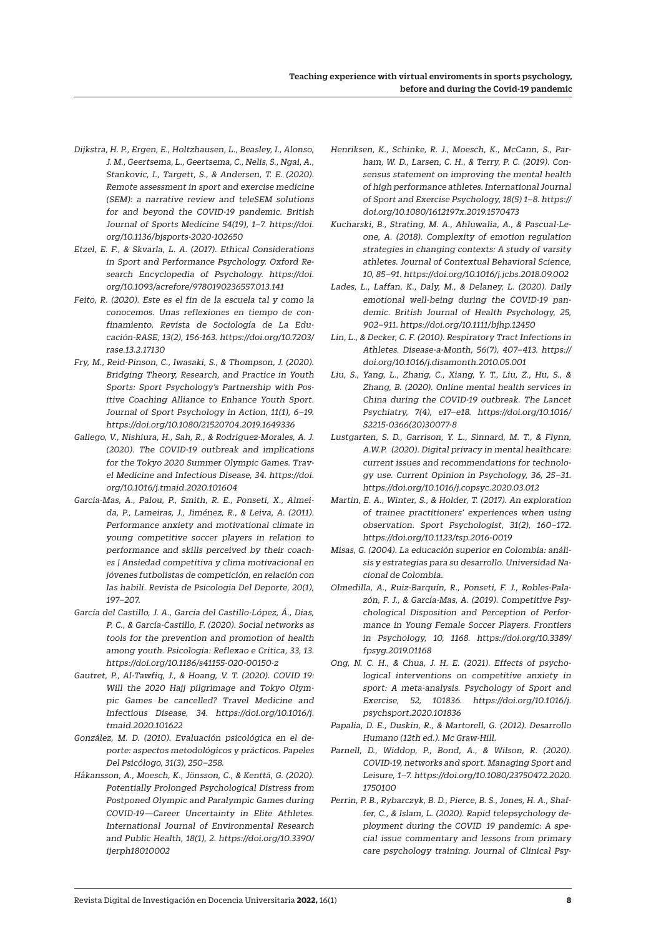- *Dijkstra, H. P., Ergen, E., Holtzhausen, L., Beasley, I., Alonso, J. M., Geertsema, L., Geertsema, C., Nelis, S., Ngai, A., Stankovic, I., Targett, S., & Andersen, T. E. (2020). Remote assessment in sport and exercise medicine (SEM): a narrative review and teleSEM solutions for and beyond the COVID-19 pandemic. British Journal of Sports Medicine 54(19), 1–7. https://doi. org/10.1136/bjsports-2020-102650*
- *Etzel, E. F., & Skvarla, L. A. (2017). Ethical Considerations in Sport and Performance Psychology. Oxford Research Encyclopedia of Psychology. https://doi. org/10.1093/acrefore/9780190236557.013.141*
- *Feito, R. (2020). Este es el fin de la escuela tal y como la conocemos. Unas reflexiones en tiempo de confinamiento. Revista de Sociología de La Educación-RASE, 13(2), 156-163. https://doi.org/10.7203/ rase.13.2.17130*
- *Fry, M., Reid-Pinson, C., Iwasaki, S., & Thompson, J. (2020). Bridging Theory, Research, and Practice in Youth Sports: Sport Psychology's Partnership with Positive Coaching Alliance to Enhance Youth Sport. Journal of Sport Psychology in Action, 11(1), 6–19. https://doi.org/10.1080/21520704.2019.1649336*
- *Gallego, V., Nishiura, H., Sah, R., & Rodriguez-Morales, A. J. (2020). The COVID-19 outbreak and implications for the Tokyo 2020 Summer Olympic Games. Travel Medicine and Infectious Disease, 34. https://doi. org/10.1016/j.tmaid.2020.101604*
- *Garcia-Mas, A., Palou, P., Smith, R. E., Ponseti, X., Almeida, P., Lameiras, J., Jiménez, R., & Leiva, A. (2011). Performance anxiety and motivational climate in young competitive soccer players in relation to performance and skills perceived by their coaches | Ansiedad competitiva y clima motivacional en jóvenes futbolistas de competición, en relación con las habili. Revista de Psicologia Del Deporte, 20(1), 197–207.*
- *García del Castillo, J. A., García del Castillo-López, Á., Dias, P. C., & García-Castillo, F. (2020). Social networks as tools for the prevention and promotion of health among youth. Psicologia: Reflexao e Critica, 33, 13. https://doi.org/10.1186/s41155-020-00150-z*
- *Gautret, P., Al-Tawfiq, J., & Hoang, V. T. (2020). COVID 19: Will the 2020 Hajj pilgrimage and Tokyo Olympic Games be cancelled? Travel Medicine and Infectious Disease, 34. https://doi.org/10.1016/j. tmaid.2020.101622*
- *González, M. D. (2010). Evaluación psicológica en el deporte: aspectos metodológicos y prácticos. Papeles Del Psicólogo, 31(3), 250–258.*
- *Håkansson, A., Moesch, K., Jönsson, C., & Kenttä, G. (2020). Potentially Prolonged Psychological Distress from Postponed Olympic and Paralympic Games during COVID-19—Career Uncertainty in Elite Athletes. International Journal of Environmental Research and Public Health, 18(1), 2. https://doi.org/10.3390/ ijerph18010002*
- *Henriksen, K., Schinke, R. J., Moesch, K., McCann, S., Parham, W. D., Larsen, C. H., & Terry, P. C. (2019). Consensus statement on improving the mental health of high performance athletes. International Journal of Sport and Exercise Psychology, 18(5) 1–8. https:// doi.org/10.1080/1612197x.2019.1570473*
- *Kucharski, B., Strating, M. A., Ahluwalia, A., & Pascual-Leone, A. (2018). Complexity of emotion regulation strategies in changing contexts: A study of varsity athletes. Journal of Contextual Behavioral Science, 10, 85–91. https://doi.org/10.1016/j.jcbs.2018.09.002*
- *Lades, L., Laffan, K., Daly, M., & Delaney, L. (2020). Daily emotional well-being during the COVID-19 pandemic. British Journal of Health Psychology, 25, 902–911. https://doi.org/10.1111/bjhp.12450*
- *Lin, L., & Decker, C. F. (2010). Respiratory Tract Infections in Athletes. Disease-a-Month, 56(7), 407–413. https:// doi.org/10.1016/j.disamonth.2010.05.001*
- *Liu, S., Yang, L., Zhang, C., Xiang, Y. T., Liu, Z., Hu, S., & Zhang, B. (2020). Online mental health services in China during the COVID-19 outbreak. The Lancet Psychiatry, 7(4), e17–e18. https://doi.org/10.1016/ S2215-0366(20)30077-8*
- *Lustgarten, S. D., Garrison, Y. L., Sinnard, M. T., & Flynn, A.W.P. (2020). Digital privacy in mental healthcare: current issues and recommendations for technology use. Current Opinion in Psychology, 36, 25–31. https://doi.org/10.1016/j.copsyc.2020.03.012*
- *Martin, E. A., Winter, S., & Holder, T. (2017). An exploration of trainee practitioners' experiences when using observation. Sport Psychologist, 31(2), 160–172. https://doi.org/10.1123/tsp.2016-0019*
- *Misas, G. (2004). La educación superior en Colombia: análisis y estrategias para su desarrollo. Universidad Nacional de Colombia.*
- *Olmedilla, A., Ruiz-Barquín, R., Ponseti, F. J., Robles-Palazón, F. J., & García-Mas, A. (2019). Competitive Psychological Disposition and Perception of Performance in Young Female Soccer Players. Frontiers in Psychology, 10, 1168. https://doi.org/10.3389/ fpsyg.2019.01168*
- *Ong, N. C. H., & Chua, J. H. E. (2021). Effects of psychological interventions on competitive anxiety in sport: A meta-analysis. Psychology of Sport and Exercise, 52, 101836. https://doi.org/10.1016/j. psychsport.2020.101836*
- *Papalia, D. E., Duskin, R., & Martorell, G. (2012). Desarrollo Humano (12th ed.). Mc Graw-Hill.*
- *Parnell, D., Widdop, P., Bond, A., & Wilson, R. (2020). COVID-19, networks and sport. Managing Sport and Leisure, 1–7. https://doi.org/10.1080/23750472.2020. 1750100*
- *Perrin, P. B., Rybarczyk, B. D., Pierce, B. S., Jones, H. A., Shaffer, C., & Islam, L. (2020). Rapid telepsychology deployment during the COVID‐19 pandemic: A special issue commentary and lessons from primary care psychology training. Journal of Clinical Psy-*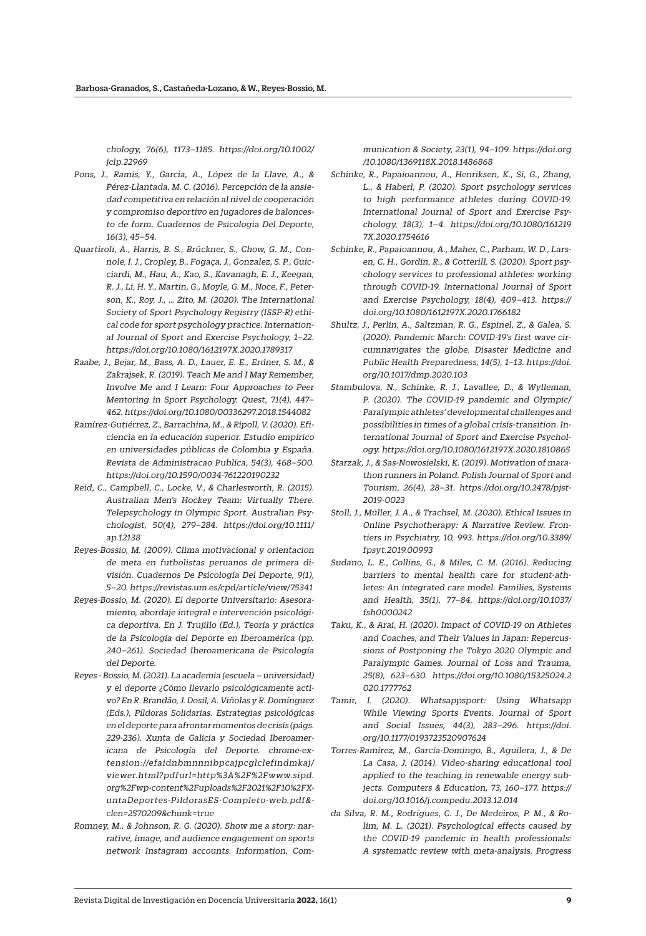*chology, 76(6), 1173–1185. https://doi.org/10.1002/ jclp.22969*

- *Pons, J., Ramis, Y., Garcia, A., López de la Llave, A., & Pérez-Llantada, M. C. (2016). Percepción de la ansiedad competitiva en relación al nivel de cooperación y compromiso deportivo en jugadores de baloncesto de form. Cuadernos de Psicologia Del Deporte, 16(3), 45–54.*
- *Quartiroli, A., Harris, B. S., Brückner, S., Chow, G. M., Connole, I. J., Cropley, B., Fogaça, J., Gonzalez, S. P., Guicciardi, M., Hau, A., Kao, S., Kavanagh, E. J., Keegan, R. J., Li, H. Y., Martin, G., Moyle, G. M., Noce, F., Peterson, K., Roy, J., … Zito, M. (2020). The International Society of Sport Psychology Registry (ISSP-R) ethical code for sport psychology practice. International Journal of Sport and Exercise Psychology, 1–22. https://doi.org/10.1080/1612197X.2020.1789317*
- *Raabe, J., Bejar, M., Bass, A. D., Lauer, E. E., Erdner, S. M., & Zakrajsek, R. (2019). Teach Me and I May Remember, Involve Me and I Learn: Four Approaches to Peer Mentoring in Sport Psychology. Quest, 71(4), 447– 462. https://doi.org/10.1080/00336297.2018.1544082*
- *Ramírez-Gutiérrez, Z., Barrachina, M., & Ripoll, V. (2020). Eficiencia en la educación superior. Estudio empírico en universidades públicas de Colombia y España. Revista de Administracao Publica, 54(3), 468–500. https://doi.org/10.1590/0034-761220190232*
- *Reid, C., Campbell, C., Locke, V., & Charlesworth, R. (2015). Australian Men's Hockey Team: Virtually There. Telepsychology in Olympic Sport. Australian Psychologist, 50(4), 279–284. https://doi.org/10.1111/ ap.12138*
- *Reyes-Bossio, M. (2009). Clima motivacional y orientacion de meta en futbolistas peruanos de primera división. Cuadernos De Psicología Del Deporte, 9(1), 5–20. https://revistas.um.es/cpd/article/view/75341*
- *Reyes-Bossio, M. (2020). El deporte Universitario: Asesoramiento, abordaje integral e intervención psicológica deportiva. En J. Trujillo (Ed.), Teoría y práctica de la Psicología del Deporte en Iberoamérica (pp. 240–261). Sociedad Iberoamericana de Psicología del Deporte.*
- *Reyes Bossio, M. (2021). La academia (escuela universidad) y el deporte ¿Cómo llevarlo psicológicamente activo? En R. Brandão, J. Dosil, A. Viñolas y R. Domínguez (Eds.), Píldoras Solidarias. Estrategias psicológicas en el deporte para afrontar momentos de crisis (págs. 229-236). Xunta de Galicia y Sociedad Iberoamericana de Psicología del Deporte. chrome-extension://efaidnbmnnnibpcajpcglclefindmkaj/ viewer.html?pdfurl=http%3A%2F%2Fwww.sipd. org%2Fwp-content%2Fuploads%2F2021%2F10%2FXuntaDeportes-PildorasES-Completo-web.pdf& clen=2570209&chunk=true*
- *Romney, M., & Johnson, R. G. (2020). Show me a story: narrative, image, and audience engagement on sports network Instagram accounts. Information, Com-*

*munication & Society, 23(1), 94–109. https://doi.org /10.1080/1369118X.2018.1486868*

- *Schinke, R., Papaioannou, A., Henriksen, K., Si, G., Zhang, L., & Haberl, P. (2020). Sport psychology services to high performance athletes during COVID-19. International Journal of Sport and Exercise Psychology, 18(3), 1–4. https://doi.org/10.1080/161219 7X.2020.1754616*
- *Schinke, R., Papaioannou, A., Maher, C., Parham, W. D., Larsen, C. H., Gordin, R., & Cotterill, S. (2020). Sport psychology services to professional athletes: working through COVID-19. International Journal of Sport and Exercise Psychology, 18(4), 409–413. https:// doi.org/10.1080/1612197X.2020.1766182*
- *Shultz, J., Perlin, A., Saltzman, R. G., Espinel, Z., & Galea, S. (2020). Pandemic March: COVID-19's first wave circumnavigates the globe. Disaster Medicine and Public Health Preparedness, 14(5), 1–13. https://doi. org/10.1017/dmp.2020.103*
- *Stambulova, N., Schinke, R. J., Lavallee, D., & Wylleman, P. (2020). The COVID-19 pandemic and Olympic/ Paralympic athletes' developmental challenges and possibilities in times of a global crisis-transition. International Journal of Sport and Exercise Psychology. https://doi.org/10.1080/1612197X.2020.1810865*
- *Starzak, J., & Sas-Nowosielski, K. (2019). Motivation of marathon runners in Poland. Polish Journal of Sport and Tourism, 26(4), 28–31. https://doi.org/10.2478/pjst-2019-0023*
- *Stoll, J., Müller, J. A., & Trachsel, M. (2020). Ethical Issues in Online Psychotherapy: A Narrative Review. Frontiers in Psychiatry, 10, 993. https://doi.org/10.3389/ fpsyt.2019.00993*
- *Sudano, L. E., Collins, G., & Miles, C. M. (2016). Reducing barriers to mental health care for student-athletes: An integrated care model. Families, Systems and Health, 35(1), 77–84. https://doi.org/10.1037/ fsh0000242*
- *Taku, K., & Arai, H. (2020). Impact of COVID-19 on Athletes and Coaches, and Their Values in Japan: Repercussions of Postponing the Tokyo 2020 Olympic and Paralympic Games. Journal of Loss and Trauma, 25(8), 623–630. https://doi.org/10.1080/15325024.2 020.1777762*
- *Tamir, I. (2020). Whatsappsport: Using Whatsapp While Viewing Sports Events. Journal of Sport and Social Issues, 44(3), 283–296. https://doi. org/10.1177/0193723520907624*
- *Torres-Ramírez, M., García-Domingo, B., Aguilera, J., & De La Casa, J. (2014). Video-sharing educational tool applied to the teaching in renewable energy subjects. Computers & Education, 73, 160–177. https:// doi.org/10.1016/j.compedu.2013.12.014*
- *da Silva, R. M., Rodrigues, C. J., De Medeiros, P. M., & Rolim, M. L. (2021). Psychological effects caused by the COVID-19 pandemic in health professionals: A systematic review with meta-analysis. Progress*